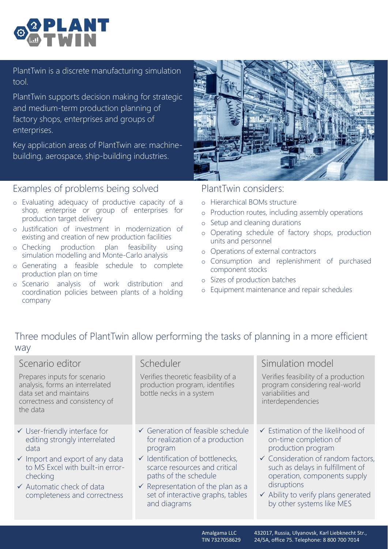PlantTwin is a discrete manufacturing simulation tool.

PlantTwin supports decision making for strategic and medium-term production planning of factory shops, enterprises and groups of enterprises.

Key application areas of PlantTwin are: machinebuilding, aerospace, ship-building industries.

## Examples of problems being solved

- o Evaluating adequacy of productive capacity of a shop, enterprise or group of enterprises for production target delivery
- o Justification of investment in modernization of existing and creation of new production facilities
- o Checking production plan feasibility using simulation modelling and Monte-Carlo analysis
- o Generating a feasible schedule to complete production plan on time
- o Scenario analysis of work distribution and coordination policies between plants of a holding company



## PlantTwin considers:

- o Hierarchical BOMs structure
- o Production routes, including assembly operations
- o Setup and cleaning durations
- o Operating schedule of factory shops, production units and personnel
- o Operations of external contractors
- o Consumption and replenishment of purchased component stocks
- o Sizes of production batches
- o Equipment maintenance and repair schedules

## Three modules of PlantTwin allow performing the tasks of planning in a more efficient way

| Scenario editor<br>Prepares inputs for scenario<br>analysis, forms an interrelated<br>data set and maintains<br>correctness and consistency of<br>the data                                                                        | Scheduler<br>Verifies theoretic feasibility of a<br>production program, identifies<br>bottle necks in a system                                                                                                                                                                                           | Simulation model<br>Verifies feasibility of a production<br>program considering real-world<br>variabilities and<br>interdependencies                                                                                                                                                                |
|-----------------------------------------------------------------------------------------------------------------------------------------------------------------------------------------------------------------------------------|----------------------------------------------------------------------------------------------------------------------------------------------------------------------------------------------------------------------------------------------------------------------------------------------------------|-----------------------------------------------------------------------------------------------------------------------------------------------------------------------------------------------------------------------------------------------------------------------------------------------------|
| ✔ User-friendly interface for<br>editing strongly interrelated<br>data<br>$\checkmark$ Import and export of any data<br>to MS Excel with built-in error-<br>checking<br>✔ Automatic check of data<br>completeness and correctness | $\checkmark$ Generation of feasible schedule<br>for realization of a production<br>program<br>$\checkmark$ Identification of bottlenecks,<br>scarce resources and critical<br>paths of the schedule<br>$\checkmark$ Representation of the plan as a<br>set of interactive graphs, tables<br>and diagrams | $\checkmark$ Estimation of the likelihood of<br>on-time completion of<br>production program<br>$\checkmark$ Consideration of random factors,<br>such as delays in fulfillment of<br>operation, components supply<br>disruptions<br>✔ Ability to verify plans generated<br>by other systems like MES |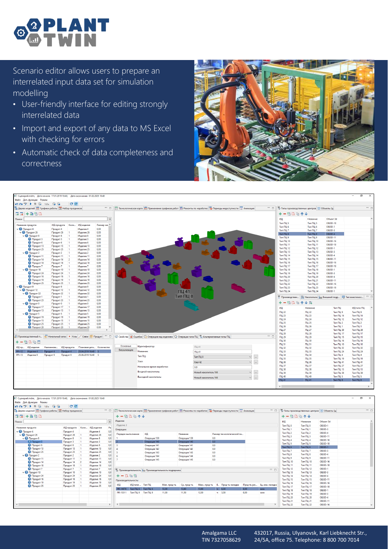

Scenario editor allows users to prepare an interrelated input data set for simulation modelling

- User-friendly interface for editing strongly interrelated data
- Import and export of any data to MS Excel with checking for errors
- Automatic check of data completeness and correctness



| 17 Сценарий.mdm. Дата начала: 17.01.2019 10:40. Дата окончания: 01.02.2025 10:40                                       |                              |                                      |                         |              |                            |                                                                                                                       |                             |                              |                                                |                                                                                             | $\Box$<br>$\times$ |
|------------------------------------------------------------------------------------------------------------------------|------------------------------|--------------------------------------|-------------------------|--------------|----------------------------|-----------------------------------------------------------------------------------------------------------------------|-----------------------------|------------------------------|------------------------------------------------|---------------------------------------------------------------------------------------------|--------------------|
| Файл Доп. функции Режим                                                                                                |                              |                                      |                         |              |                            |                                                                                                                       |                             |                              |                                                |                                                                                             |                    |
| $\mathfrak{a} \mathfrak{a} \mathfrak{b} \mathfrak{b} \mathfrak{b} \mathfrak{a} \mathfrak{a} \mathfrak{a} \mathfrak{a}$ |                              | C <sub>e</sub>                       |                         |              |                            |                                                                                                                       |                             |                              |                                                |                                                                                             |                    |
| R= Дерево изделий   Прафики работы   23 Набор праздников                                                               |                              |                                      | $ -$                    |              |                            | Е Технологическая карта [ Применение графиков работ [ W Ремонты по наработке   То Периоды недоступности [ E] Анимация | $=$ $\Box$                  |                              | 79 Типы производственных центров 30 Объекты Зд |                                                                                             | $=$ $\Box$         |
| 屏房 十を強い                                                                                                                |                              |                                      |                         |              |                            |                                                                                                                       |                             | $+-$ Allan $+$               |                                                |                                                                                             |                    |
| Поиск:                                                                                                                 |                              |                                      | $\overline{\mathbf{x}}$ |              |                            |                                                                                                                       |                             | ид                           | Название                                       | Объект 3d                                                                                   |                    |
|                                                                                                                        |                              |                                      |                         |              |                            |                                                                                                                       |                             | Tun FILL 5                   | Twn FILL 5                                     | <b>OBJ3D-18</b>                                                                             |                    |
| Название продукта                                                                                                      | Коли<br>ИД продукта          | ИД изделия                           | Размер ми ^             |              |                            |                                                                                                                       |                             | <b>Тип ПЦ 6</b>              | Twn FILL 6                                     | <b>OBJ3D-1</b>                                                                              |                    |
| $\vee$ <b>Q Продукт</b> 4<br>$\vee$ $\bigcirc$ Продукт 26                                                              | Продукт 4                    | Изделие 4                            | 0.00<br>0.00            |              |                            |                                                                                                                       |                             | Twn FILL 7                   | Two FILL 7                                     | <b>OBJ3D-3</b>                                                                              |                    |
| $\vee$ $\bigcirc$ Продукт 8                                                                                            | Продукт 26<br>Продукт 8      | Изделие 26<br>Изделие 8              | 0,00                    |              |                            |                                                                                                                       |                             | <b>Тип ПЦ 8</b>              | <b>Тип ПЦ 8</b>                                | <b>OBJ3D-4</b>                                                                              |                    |
| <b>• Продукт 3</b>                                                                                                     | Продукт 3                    | Изделие 3                            | 0.00                    |              |                            |                                                                                                                       |                             | Тип ПЦ 9                     | <b>Тип ПЦ 9</b>                                | OBJ3D-11                                                                                    |                    |
| <b>• Продукт 6</b>                                                                                                     | Продукт 6                    | Изделие 6                            | 0.00                    |              |                            |                                                                                                                       |                             | Тип ПЦ 10                    | Тип ПЦ 10                                      | <b>OBJ3D-16</b>                                                                             |                    |
| • Продукт 13                                                                                                           | Продукт 13                   | Изделие 13                           | 0.00                    |              |                            |                                                                                                                       |                             | <b>Тип ПЦ 11</b>             | Тип ПЦ 11                                      | OBJ3D-18                                                                                    |                    |
| <b>• Продукт 25</b>                                                                                                    | Продукт 25                   | Изделие 25                           | 0,00                    |              |                            |                                                                                                                       |                             | Тип ПЦ 12                    | Тип ПЦ 12                                      | OBJ3D-1                                                                                     |                    |
| $\vee$ $\bigcirc$ Продукт 2                                                                                            | Продукт 2                    | Изделие 2                            | 0,00                    |              |                            |                                                                                                                       |                             | Тип ПЦ 13                    | Tun 0U 13                                      | <b>OBJ3D-3</b>                                                                              |                    |
| • Продукт 11                                                                                                           | Продукт 11                   | Изделие 11                           | 0.00                    |              |                            |                                                                                                                       |                             | <b>Тип ПЦ 14</b>             | Тип ПЦ 14                                      | <b>OBJ3D-4</b>                                                                              |                    |
| • Продукт 14                                                                                                           | Продукт 14<br>$\overline{2}$ | Изделие 14                           | 0,00                    |              |                            |                                                                                                                       |                             | Тип ПЦ 15                    | Тип ПЦ 15                                      | OBJ3D-11                                                                                    |                    |
| • Продукт 18                                                                                                           | Продукт 18                   | Изделие 18                           | 0,00                    |              |                            |                                                                                                                       |                             | <b>Тип ПЦ 16</b>             | <b>Тип ПЦ 16</b>                               | OBJ3D-16                                                                                    |                    |
| <b>Q Продукт</b> 7                                                                                                     | Продукт 7                    | Изделие 7                            | 0.00                    |              |                            |                                                                                                                       |                             | <b>Тип ПЦ 17</b>             | Tun FIU 17                                     | OBJ3D-18                                                                                    |                    |
| $\vee$ • Продукт 10                                                                                                    | Продукт 10                   | Изделие 10                           | 0,00                    |              |                            |                                                                                                                       |                             | <b>Тип ПЦ 18</b>             | <b>Тип ПЦ 18</b>                               | <b>OBJ3D-1</b>                                                                              |                    |
| <b>C Продукт</b> 24                                                                                                    | Продукт 24                   | Изделие 24                           | 0,00                    |              |                            |                                                                                                                       |                             | <b>Тип ПЦ 19</b>             | <b>Тип ПЦ 19</b>                               | OBJ3D-3                                                                                     |                    |
| • Продукт 16<br>• Продукт 19                                                                                           | Продукт 16                   | Изделие 16                           | 0,00<br>0,00            |              |                            |                                                                                                                       |                             | <b>Тип ПЦ 20</b>             | <b>Тип ПЦ 20</b>                               | OBJ3D-4                                                                                     |                    |
| • Продукт 25                                                                                                           | Продукт 19<br>Продукт 25     | Изделие 19<br>Изделие 25             | 0.00                    |              |                            |                                                                                                                       |                             | <b>Тип ПЦ 21</b>             | <b>Тип ПЦ 21</b>                               | OBJ3D-11                                                                                    |                    |
| $\vee$ $\bigcirc$ Продукт 9                                                                                            | Продукт 9                    | Изделие 9                            | 0.00                    |              |                            |                                                                                                                       |                             | <b>Тип ПЦ 22</b>             | <b>Тип ПЦ 22</b>                               | OBJ3D-16                                                                                    |                    |
| $\vee$ © Продукт 12                                                                                                    | Продукт 12                   | Изделие 12                           | 0,00                    |              |                            |                                                                                                                       |                             | <b>Тип ПЦ 23</b>             | Тип ПЦ 23                                      | <b>OBJ3D-18</b>                                                                             |                    |
| $\vee$ Продукт 22                                                                                                      | Продукт 22                   | Изделие 22                           | 0,00                    |              |                            | <b>NU41</b>                                                                                                           |                             | <b>Тип ПЦ 24</b>             | <b>Тип ПЦ 24</b>                               | OBJ3D-1                                                                                     |                    |
| • Продукт 1                                                                                                            | Продукт 1                    | Изделие 1                            | 0,00                    |              |                            | Тип ПЦ 8                                                                                                              |                             |                              |                                                | T Производствен   - Накопители   ен Внешний подр   По Тип вместимос   -   -   -   -   -   - |                    |
| • Продукт 23                                                                                                           | Продукт 23                   | Изделие 23                           | 0.00                    |              |                            |                                                                                                                       |                             |                              |                                                |                                                                                             |                    |
| $\vee$ Продукт 0                                                                                                       | Продукт 0                    | Изделие 0                            | 0,00                    |              |                            |                                                                                                                       |                             | 十一階色腦个少异                     |                                                |                                                                                             |                    |
| • Продукт 17                                                                                                           | Продукт 17                   | Изделие 17                           | 0,00                    |              |                            |                                                                                                                       |                             | ид                           | Название                                       | Tun FILL                                                                                    | ИД типа ПЦ         |
| <b>C Продукт</b> 13                                                                                                    | Продукт 13                   | Изделие 13                           | 0,00                    |              |                            |                                                                                                                       |                             | <b>mu 22</b>                 | $\Box 122$                                     | <b>Тип ПЦ 9</b>                                                                             | <b>Тип ПЦ 9</b>    |
| $\vee$ Продукт 5                                                                                                       | Продукт 5                    | Изделие 5                            | 0,00                    |              |                            |                                                                                                                       |                             | ПЦ 23                        | ПЦ 23                                          | <b>Тип ПЦ 14</b>                                                                            | <b>Тип ПЦ 14</b>   |
| <b>C Продукт</b> 19<br><b>D</b> Продукт 15                                                                             | Продукт 19                   | Изделие 19                           | 0,00<br>0,00            |              |                            |                                                                                                                       |                             | <b>NU 24</b>                 | <b>FILL 24</b>                                 | <b>Тип ПЦ 12</b>                                                                            | <b>Тип ПЦ 12</b>   |
| • Продукт 25                                                                                                           | Продукт 15<br>Продукт 25     | Изделие 15<br>Изделие 25             | 0.00                    |              |                            |                                                                                                                       |                             | ПЦ 25                        | ПЦ 25                                          | Tun NU <sub>2</sub>                                                                         | <b>Тип ПЦ 2</b>    |
| <b>C Продукт 20</b>                                                                                                    | Продукт 20                   | Изделие 20                           | 0.00<br>$\checkmark$    |              |                            |                                                                                                                       |                             | ПЦ 26                        | ПЦ 26                                          | Twn FILL 1                                                                                  | Tun FILL 1         |
|                                                                                                                        |                              |                                      | $\rightarrow$           |              |                            |                                                                                                                       |                             | <b>nu 27</b>                 | <b>FILL 27</b>                                 | <b>Тип ПЦ 39</b>                                                                            | <b>Тип ПЦ 39</b>   |
|                                                                                                                        |                              |                                      |                         |              |                            |                                                                                                                       |                             | ПЦ 28                        | ПЦ 28                                          | <b>Тип ПЦ 17</b>                                                                            | <b>Тип ПЦ 17</b>   |
| 2 Производственный п   - Начальный запас   ● Узлы / Связи   -   Продукт   -   -   -   -   -   -                        |                              |                                      |                         |              |                            | 14 Свойства <b>• Ошибки СА</b> Операции над изделием СА Операции типа ПЦ Е Альтернативные типы ПЦ                     | $=$ $\Box$                  | ПЦ 29                        | ПЦ 29                                          | Тип ПЦ 15                                                                                   | Тип ПЦ 15          |
| $+ B$ $D$ $B$ $E$                                                                                                      |                              |                                      |                         |              |                            |                                                                                                                       |                             | ПЦ 30                        | ПЦ 30                                          | Тип ПЦ 16                                                                                   | Тип ПЦ 16          |
|                                                                                                                        |                              |                                      |                         |              |                            |                                                                                                                       |                             | <b>FILL 31</b>               | ПЦ 31                                          | <b>Тип ПЦ 10</b>                                                                            | <b>Тип ПЦ 10</b>   |
| ИД изделия<br>ИД пр                                                                                                    | Наименова                    | ИД продукта Плановая дата Количество |                         | Основные     | Идентификатор:             | $\Pi$ LI 41                                                                                                           |                             | <b>NU 32</b>                 | ПЦ 32                                          | Тип ПЦ 32                                                                                   | <b>Тип ПЦ 32</b>   |
| PPI-12<br>Изделие 4                                                                                                    | Продукт 4<br>Продукт 4       | 25.04.2019 16:40 5                   |                         | Визуализация | Название:                  | FIII 41                                                                                                               |                             | ПЦ 33                        | ПЦ 33                                          | <b>Тип ПЦ 24</b>                                                                            | <b>Тип ПЦ 24</b>   |
| <b>PPI-13</b><br>Изделие 9                                                                                             | Продукт 9<br>Продукт 9       | 25.06.2019 16:40 5                   |                         |              | Tun FILI:                  | Tun FILL 8                                                                                                            | $\backsim$                  | ПЦ 34                        | ПЦ 34                                          | Tun FILL 4                                                                                  | Tun FILI 4         |
|                                                                                                                        |                              |                                      |                         |              |                            |                                                                                                                       | $\mathbb{Z}^2$              | <b>NU 35</b>                 | ПЦ 35                                          | Тип ПЦ 19                                                                                   | <b>Тип ПЦ 19</b>   |
|                                                                                                                        |                              |                                      |                         |              | Узел:                      | Узел 42                                                                                                               |                             | ПЦ 36                        | ПЦ 36                                          | <b>Тип ПЦ 41</b>                                                                            | <b>Тип ПЦ 41</b>   |
|                                                                                                                        |                              |                                      |                         |              | Начальное время наработки: | 0.0                                                                                                                   |                             | ПЦ 37                        | <b>FILL 37</b>                                 | Twn FILL 27                                                                                 | Тип ПЦ 27          |
|                                                                                                                        |                              |                                      |                         |              | Входной накопитель:        |                                                                                                                       |                             | ПЦ 38                        | ПЦ 38                                          | Тип ПЦ 13                                                                                   | <b>Тип ПЦ 13</b>   |
|                                                                                                                        |                              |                                      |                         |              |                            | Новый накопитель 166                                                                                                  |                             | ПЦ 39                        | <b>FILL 39</b>                                 | <b>Тип ПЦ 38</b>                                                                            | <b>Тип ПЦ 38</b>   |
|                                                                                                                        |                              |                                      |                         |              | Выходной накопитель:       | Новый накопитель 166                                                                                                  | $\smallsmile$ $\smallsmile$ | <b>NU 40</b>                 | <b>NU 40</b>                                   | Tun FILL 5                                                                                  | Tun FILL 5         |
|                                                                                                                        |                              |                                      |                         |              |                            |                                                                                                                       |                             | <b>FILI 41</b>               | <b>NU41</b>                                    | Tun FILI 8                                                                                  | <b>Тип ПЦ 8</b>    |
|                                                                                                                        |                              |                                      |                         |              |                            |                                                                                                                       |                             |                              |                                                |                                                                                             |                    |
|                                                                                                                        |                              |                                      |                         |              |                            |                                                                                                                       |                             | $\left\langle \right\rangle$ |                                                |                                                                                             | $\rightarrow$      |

| Сценарий.mdm, Дата начала: 17.01.2019 10:40, Дата окончания: 01.02.2025 10:40 |                           |      |            |               |                     |                                                                       |              |              |              |               |     |                                                                                                                    |      |                              |                  |                                             |                 | $\sim$ | $\mathbf{X}$ |
|-------------------------------------------------------------------------------|---------------------------|------|------------|---------------|---------------------|-----------------------------------------------------------------------|--------------|--------------|--------------|---------------|-----|--------------------------------------------------------------------------------------------------------------------|------|------------------------------|------------------|---------------------------------------------|-----------------|--------|--------------|
| Файл Доп. функции Режим                                                       |                           |      |            |               |                     |                                                                       |              |              |              |               |     |                                                                                                                    |      |                              |                  |                                             |                 |        |              |
|                                                                               | $\mathbf{C}$ $\mathbf{C}$ |      |            |               |                     |                                                                       |              |              |              |               |     |                                                                                                                    |      |                              |                  |                                             |                 |        |              |
| $ -$<br>RE Дерево изделий <b>FRA Графики работы</b> [23] Набор праздников     |                           |      |            |               |                     |                                                                       |              |              |              |               |     | <b>В Технологическая карта Применение графиков работ В Ремонты по наработке В Периоды недоступности D Анимация</b> |      | $ -$                         |                  | Tunы производственных центров 30 Объекты Зд |                 |        | $ -$         |
| 【尾尾】+足陰氏                                                                      |                           |      |            |               |                     | 十一臂口脑个小                                                               |              |              |              |               |     |                                                                                                                    |      |                              |                  | 十一瞥口脑个小                                     |                 |        |              |
| Поиск:                                                                        |                           |      |            |               | <b>Изделие:</b>     |                                                                       |              |              |              |               |     |                                                                                                                    |      |                              |                  | Название                                    | Объект 3d       |        |              |
| Название продукта                                                             | ИД продукта               | Коли | ИД изделия | Pal           | Изделие 3           |                                                                       |              |              |              |               |     |                                                                                                                    |      |                              |                  |                                             | OBJ3D-1         |        |              |
| $\vee$ <b>D</b> Продукт 4                                                     | Продукт 4                 |      | Изделие 4  | 0.0           | Операции:           |                                                                       |              |              |              |               |     |                                                                                                                    |      |                              | Twn FILL 1       | Tun Fill 1                                  | OBJ3D-3         |        |              |
| $\vee$ Продукт 26                                                             | Продукт 26                |      | Изделие 26 | 0.0           | Порядок выполнения  |                                                                       | ид           |              | Название     |               |     | Размер технологической па                                                                                          |      |                              | <b>Тип ПЦ 2</b>  | <b>Тип ПЦ 2</b>                             | OBJ3D-4         |        |              |
| $\vee$ $\bigcirc$ Продукт 8                                                   | Продукт 8                 |      | Изделие 8  | 0.0           |                     |                                                                       | Операция 139 |              | Операция 139 |               | 0.0 |                                                                                                                    |      |                              | Twn FILL 3       | Twn FILL 3                                  | OBJ3D-11        |        |              |
| <b>P</b> Продукт 3                                                            | Продукт 3                 |      | Изделие 3  | 0.0           |                     |                                                                       | Операция 140 |              | Операция 140 |               | 0.0 |                                                                                                                    |      |                              | Tun FILL 4       | Tun FILI 4                                  | OBJ3D-16        |        |              |
| <b>• Продукт 6</b>                                                            | Продукт 6                 |      | Изделие 6  | 0,0           |                     |                                                                       | Операция 141 |              | Операция 141 |               | 0.0 |                                                                                                                    |      |                              | Twn FILL 5       | Tun FILL 5                                  | <b>OBJ3D-18</b> |        |              |
| • Продукт 13                                                                  | Продукт 13                |      | Изделие 13 | 0,0           |                     |                                                                       | Операция 142 |              | Операция 142 |               | 0.0 |                                                                                                                    |      |                              | Tun FILL 6       | <b>Тип ПЦ 6</b>                             | OBJ3D-1         |        |              |
| <b>C</b> Продукт 25                                                           | Продукт 25                |      | Изделие 25 | 0.0           |                     |                                                                       | Операция 143 |              | Операция 143 |               | 0.0 |                                                                                                                    |      |                              | Tun FILL 7       | Twn FILL 7                                  | OBJ3D-3         |        |              |
| $\vee$ $\bigcirc$ Продукт 2                                                   | Продукт 2                 |      | Изделие 2  | 0,0           |                     |                                                                       | Операция 144 |              | Операция 144 |               | 0.0 |                                                                                                                    |      |                              | Tun FILI 8       | Tun FILL 8                                  | OBJ3D-4         |        |              |
| • Продукт 11                                                                  | Продукт 11                |      | Изделие 11 | 0,0           |                     |                                                                       | Операция 145 |              | Операция 145 |               | 0.0 |                                                                                                                    |      |                              | <b>Тип ПЦ 9</b>  | <b>Тип ПЦ 9</b>                             | OBJ3D-11        |        |              |
| • Продукт 14                                                                  | Продукт 14                |      | Изделие 14 | 0.0           |                     |                                                                       |              |              |              |               |     |                                                                                                                    |      |                              | <b>Тип ПЦ 10</b> | Тип ПЦ 10                                   | OBJ3D-16        |        |              |
| • Продукт 18                                                                  | Продукт 18                |      | Изделие 18 | 0.0           |                     |                                                                       |              |              |              |               |     |                                                                                                                    |      |                              | <b>Тип ПЦ 11</b> | <b>Тип ПЦ 11</b>                            | <b>OBJ3D-18</b> |        |              |
| • Продукт 7                                                                   | Продукт 7                 |      | Изделие 7  | 0.0           |                     | $= 5$<br><b>В Производительность</b> из Производительность подрядчика |              |              |              |               |     |                                                                                                                    |      |                              | <b>Тип ПЦ 12</b> | Тип ПЦ 12                                   | OBJ3D-1         |        |              |
| $\vee$ © Продукт 10                                                           | Продукт 10                |      | Изделие 10 | 0,0           |                     |                                                                       |              |              |              |               |     |                                                                                                                    |      |                              | Тип ПЦ 13        | Тип ПЦ 13                                   | OBJ3D-3         |        |              |
| <b>• Продукт 24</b>                                                           | Продукт 24                |      | Изделие 24 | 0,0           | $+-D$ a a           |                                                                       |              |              |              |               |     |                                                                                                                    |      |                              | <b>Тип ПЦ 14</b> | <b>Тип ПЦ 14</b>                            | OBJ3D-4         |        |              |
| • Продукт 16                                                                  | Продукт 16                |      | Изделие 16 | 0,0           | Производительность: |                                                                       |              |              |              |               |     |                                                                                                                    |      |                              | Tun FILL 15      | Тип ПЦ 15                                   | OBJ3D-11        |        |              |
| • Продукт 19                                                                  | Продукт 19                |      | Изделие 19 | 0.0           |                     |                                                                       |              |              |              |               |     |                                                                                                                    |      |                              | <b>Тип ПЦ 16</b> | Тип ПЦ 16                                   | OBJ3D-16        |        |              |
| • Продукт 25                                                                  | Продукт 25                |      | Изделие 25 | 0.0           | ид                  | ИД типа  Тип ПЦ                                                       |              | Мин. прод-ть | Ср. прод-ть  | Макс. прод-ть |     | Е., Прод-ть наладки                                                                                                |      | Прод-ть раз Ед. изм. наладки | <b>Тип ПЦ 17</b> | <b>Тип ПЦ 17</b>                            | <b>OBJ3D-18</b> |        |              |
|                                                                               |                           |      |            |               | PR-14978            | Тип ПЦ 6 Тип ПЦ 6                                                     |              | 13,00        | 13,60        | 13,90         |     | $4 - 6,00$                                                                                                         | 0,00 | мин                          | <b>Тип ПЦ 18</b> | Тип ПЦ 18                                   | OBJ3D-1         |        |              |
|                                                                               |                           |      |            |               | PR-15311            | Twn FILL 9 Twn FILL 9                                                 |              | 11.00        | 11.50        | 12.00         |     | H 3.00                                                                                                             | 0,00 | <b>MMH</b>                   | <b>Тип ПЦ 19</b> | <b>Тип ПЦ 19</b>                            | <b>OBJ3D-3</b>  |        |              |
|                                                                               |                           |      |            |               |                     |                                                                       |              |              |              |               |     |                                                                                                                    |      |                              | <b>Тип ПЦ 20</b> | <b>Тип ПЦ 20</b>                            | OBJ3D-4         |        |              |
|                                                                               |                           |      |            |               |                     |                                                                       |              |              |              |               |     |                                                                                                                    |      |                              | <b>Тип ПЦ 21</b> | Тип ПЦ 21                                   | OBJ3D-11        |        |              |
| $\langle$                                                                     |                           |      |            | $\rightarrow$ |                     |                                                                       |              |              |              |               |     |                                                                                                                    |      |                              | <b>Тип ПЦ 22</b> | <b>Тип ПЦ 22</b>                            | OBJ3D-16        |        | $\checkmark$ |
|                                                                               |                           |      |            |               |                     |                                                                       |              |              |              |               |     |                                                                                                                    |      |                              |                  |                                             |                 |        |              |

432017, Russia, Ulyanovsk, Karl Liebknecht Str., 24/5A, office 75. Telephone: 8 800 700 7014